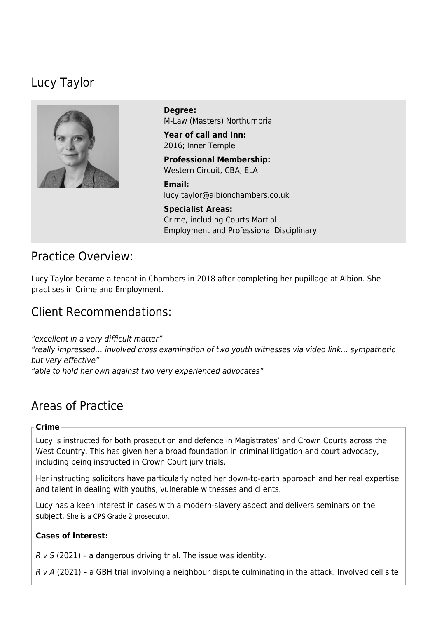# Lucy Taylor



**Degree:**  M-Law (Masters) Northumbria

**Year of call and Inn:**  2016; Inner Temple

**Professional Membership:**  Western Circuit, CBA, ELA

**Email:**  [lucy.taylor@albionchambers.co.uk](mailto:lucy.taylor@albionchambers.co.uk)

**Specialist Areas:**  [Crime, including Courts Martial](https://www.albionchambers.co.uk/specialist-areas/crime-including-courts-martial) [Employment and Professional Disciplinary](https://www.albionchambers.co.uk/specialist-areas/employment-and-professional-disciplinary)

# Practice Overview:

Lucy Taylor became a tenant in Chambers in 2018 after completing her pupillage at Albion. She practises in Crime and Employment.

# Client Recommendations:

"excellent in a very difficult matter" "really impressed… involved cross examination of two youth witnesses via video link… sympathetic but very effective" "able to hold her own against two very experienced advocates"

# Areas of Practice

#### **Crime**

Lucy is instructed for both prosecution and defence in Magistrates' and Crown Courts across the West Country. This has given her a broad foundation in criminal litigation and court advocacy, including being instructed in Crown Court jury trials.

Her instructing solicitors have particularly noted her down-to-earth approach and her real expertise and talent in dealing with youths, vulnerable witnesses and clients.

Lucy has a keen interest in cases with a modern-slavery aspect and delivers seminars on the subject. She is a CPS Grade 2 prosecutor.

#### **Cases of interest:**

 $R$  v S (2021) – a dangerous driving trial. The issue was identity.

R v A (2021) – a GBH trial involving a neighbour dispute culminating in the attack. Involved cell site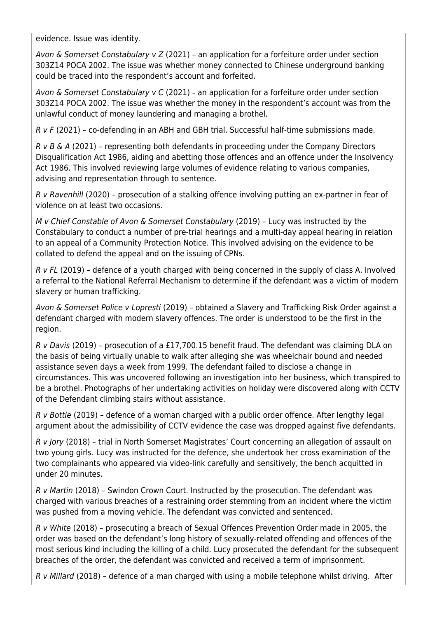evidence. Issue was identity.

Avon & Somerset Constabulary v  $Z$  (2021) – an application for a forfeiture order under section 303Z14 POCA 2002. The issue was whether money connected to Chinese underground banking could be traced into the respondent's account and forfeited.

Avon & Somerset Constabulary v C (2021) - an application for a forfeiture order under section 303Z14 POCA 2002. The issue was whether the money in the respondent's account was from the unlawful conduct of money laundering and managing a brothel.

 $R$  v  $F$  (2021) – co-defending in an ABH and GBH trial. Successful half-time submissions made.

 $R$  v B & A (2021) – representing both defendants in proceeding under the Company Directors Disqualification Act 1986, aiding and abetting those offences and an offence under the Insolvency Act 1986. This involved reviewing large volumes of evidence relating to various companies, advising and representation through to sentence.

R v Ravenhill (2020) – prosecution of a stalking offence involving putting an ex-partner in fear of violence on at least two occasions.

M v Chief Constable of Avon & Somerset Constabulary (2019) – Lucy was instructed by the Constabulary to conduct a number of pre-trial hearings and a multi-day appeal hearing in relation to an appeal of a Community Protection Notice. This involved advising on the evidence to be collated to defend the appeal and on the issuing of CPNs.

R v FL (2019) – defence of a youth charged with being concerned in the supply of class A. Involved a referral to the National Referral Mechanism to determine if the defendant was a victim of modern slavery or human trafficking.

Avon & Somerset Police v Lopresti (2019) – obtained a Slavery and Trafficking Risk Order against a defendant charged with modern slavery offences. The order is understood to be the first in the region.

[R v Davis](https://www.albionchambers.co.uk/chambers-news/lucy-taylor-prosecutes-former-brothel-owner-benefit-fraud) (2019) – prosecution of a £17,700.15 benefit fraud. The defendant was claiming DLA on the basis of being virtually unable to walk after alleging she was wheelchair bound and needed assistance seven days a week from 1999. The defendant failed to disclose a change in circumstances. This was uncovered following an investigation into her business, which transpired to be a brothel. Photographs of her undertaking activities on holiday were discovered along with CCTV of the Defendant climbing stairs without assistance.

R v Bottle (2019) – defence of a woman charged with a public order offence. After lengthy legal argument about the admissibility of CCTV evidence the case was dropped against five defendants.

R v Jory (2018) – trial in North Somerset Magistrates' Court concerning an allegation of assault on two young girls. Lucy was instructed for the defence, she undertook her cross examination of the two complainants who appeared via video-link carefully and sensitively, the bench acquitted in under 20 minutes.

R v Martin (2018) – Swindon Crown Court. Instructed by the prosecution. The defendant was charged with various breaches of a restraining order stemming from an incident where the victim was pushed from a moving vehicle. The defendant was convicted and sentenced.

R v White (2018) – prosecuting a breach of Sexual Offences Prevention Order made in 2005, the order was based on the defendant's long history of sexually-related offending and offences of the most serious kind including the killing of a child. Lucy prosecuted the defendant for the subsequent breaches of the order, the defendant was convicted and received a term of imprisonment.

R v Millard (2018) – defence of a man charged with using a mobile telephone whilst driving. After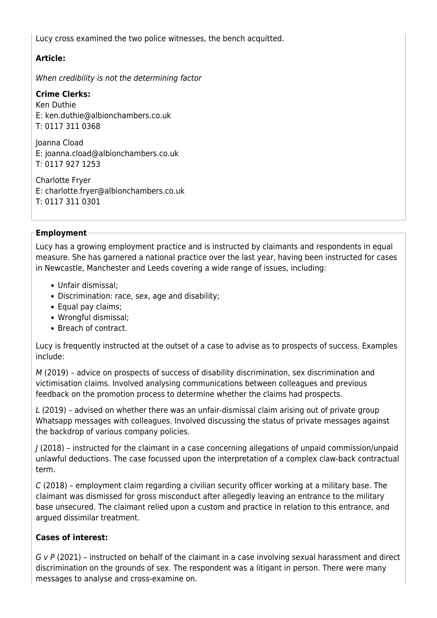Lucy cross examined the two police witnesses, the bench acquitted.

## **Article:**

[When credibility is not the determining factor](https://www.albionchambers.co.uk/sites/default/files/Crime%20Newsletter%20Winter%202019.pdf) 

### **Crime Clerks:**

Ken Duthie E: [ken.duthie@albionchambers.co.uk](mailto:ken.duthie@albionchambers.co.uk) T: 0117 311 0368

Joanna Cload E: [joanna.cload@albionchambers.co.uk](mailto:joanna.cload@albionchambers.co.uk) T: 0117 927 1253

Charlotte Fryer E: [charlotte.fryer@albionchambers.co.uk](mailto:charlotte.fryer@albionchambers.co.uk) T: 0117 311 0301

#### **Employment**

Lucy has a growing employment practice and is instructed by claimants and respondents in equal measure. She has garnered a national practice over the last year, having been instructed for cases in Newcastle, Manchester and Leeds covering a wide range of issues, including:

- Unfair dismissal;
- Discrimination: race, sex, age and disability;
- Equal pay claims;
- Wrongful dismissal;
- Breach of contract.

Lucy is frequently instructed at the outset of a case to advise as to prospects of success. Examples include:

M (2019) – advice on prospects of success of disability discrimination, sex discrimination and victimisation claims. Involved analysing communications between colleagues and previous feedback on the promotion process to determine whether the claims had prospects.

L (2019) – advised on whether there was an unfair-dismissal claim arising out of private group Whatsapp messages with colleagues. Involved discussing the status of private messages against the backdrop of various company policies.

J (2018) – instructed for the claimant in a case concerning allegations of unpaid commission/unpaid unlawful deductions. The case focussed upon the interpretation of a complex claw-back contractual term.

C (2018) – employment claim regarding a civilian security officer working at a military base. The claimant was dismissed for gross misconduct after allegedly leaving an entrance to the military base unsecured. The claimant relied upon a custom and practice in relation to this entrance, and argued dissimilar treatment.

## **Cases of interest:**

G v P (2021) – instructed on behalf of the claimant in a case involving sexual harassment and direct discrimination on the grounds of sex. The respondent was a litigant in person. There were many messages to analyse and cross-examine on.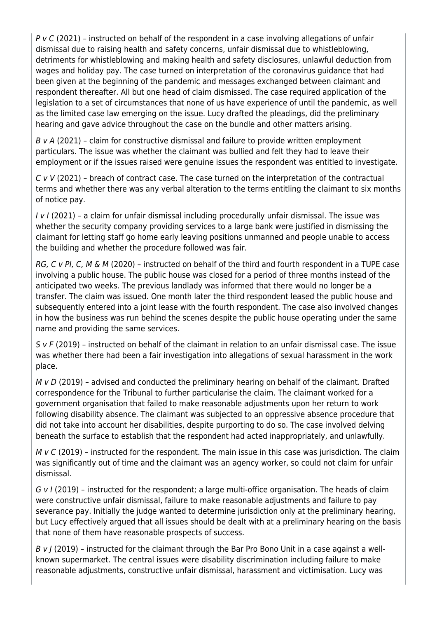P v C (2021) – instructed on behalf of the respondent in a case involving allegations of unfair dismissal due to raising health and safety concerns, unfair dismissal due to whistleblowing, detriments for whistleblowing and making health and safety disclosures, unlawful deduction from wages and holiday pay. The case turned on interpretation of the coronavirus guidance that had been given at the beginning of the pandemic and messages exchanged between claimant and respondent thereafter. All but one head of claim dismissed. The case required application of the legislation to a set of circumstances that none of us have experience of until the pandemic, as well as the limited case law emerging on the issue. Lucy drafted the pleadings, did the preliminary hearing and gave advice throughout the case on the bundle and other matters arising.

 $B$  v A (2021) - claim for constructive dismissal and failure to provide written employment particulars. The issue was whether the claimant was bullied and felt they had to leave their employment or if the issues raised were genuine issues the respondent was entitled to investigate.

 $C$  v V (2021) – breach of contract case. The case turned on the interpretation of the contractual terms and whether there was any verbal alteration to the terms entitling the claimant to six months of notice pay.

I v I (2021) – a claim for unfair dismissal including procedurally unfair dismissal. The issue was whether the security company providing services to a large bank were justified in dismissing the claimant for letting staff go home early leaving positions unmanned and people unable to access the building and whether the procedure followed was fair.

RG, C v PI, C, M & M (2020) – instructed on behalf of the third and fourth respondent in a TUPE case involving a public house. The public house was closed for a period of three months instead of the anticipated two weeks. The previous landlady was informed that there would no longer be a transfer. The claim was issued. One month later the third respondent leased the public house and subsequently entered into a joint lease with the fourth respondent. The case also involved changes in how the business was run behind the scenes despite the public house operating under the same name and providing the same services.

S v F (2019) – instructed on behalf of the claimant in relation to an unfair dismissal case. The issue was whether there had been a fair investigation into allegations of sexual harassment in the work place.

 $M$  v D (2019) - advised and conducted the preliminary hearing on behalf of the claimant. Drafted correspondence for the Tribunal to further particularise the claim. The claimant worked for a government organisation that failed to make reasonable adjustments upon her return to work following disability absence. The claimant was subjected to an oppressive absence procedure that did not take into account her disabilities, despite purporting to do so. The case involved delving beneath the surface to establish that the respondent had acted inappropriately, and unlawfully.

 $M$  v C (2019) – instructed for the respondent. The main issue in this case was jurisdiction. The claim was significantly out of time and the claimant was an agency worker, so could not claim for unfair dismissal.

G v I (2019) - instructed for the respondent; a large multi-office organisation. The heads of claim were constructive unfair dismissal, failure to make reasonable adjustments and failure to pay severance pay. Initially the judge wanted to determine jurisdiction only at the preliminary hearing, but Lucy effectively argued that all issues should be dealt with at a preliminary hearing on the basis that none of them have reasonable prospects of success.

 $B \vee$  / (2019) – instructed for the claimant through the Bar Pro Bono Unit in a case against a wellknown supermarket. The central issues were disability discrimination including failure to make reasonable adjustments, constructive unfair dismissal, harassment and victimisation. Lucy was